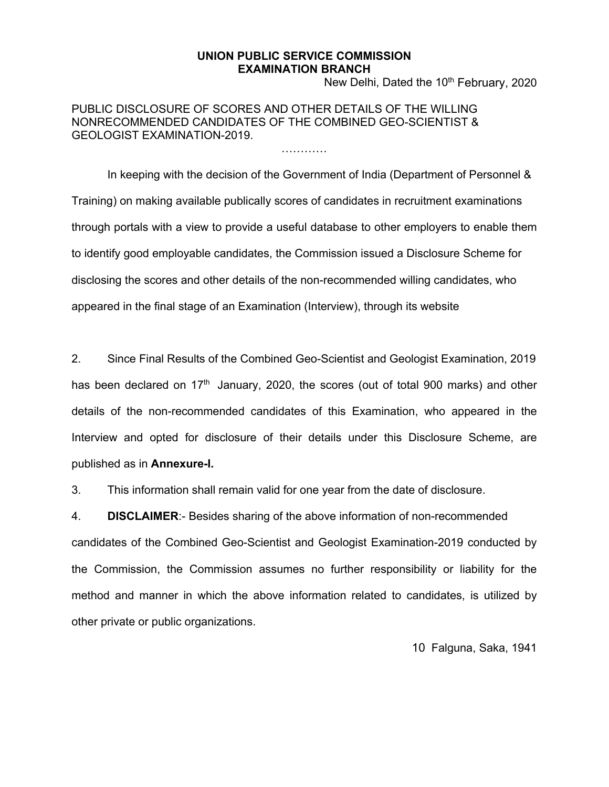## **UNION PUBLIC SERVICE COMMISSION EXAMINATION BRANCH**

…………

New Delhi, Dated the 10<sup>th</sup> February, 2020

PUBLIC DISCLOSURE OF SCORES AND OTHER DETAILS OF THE WILLING NONRECOMMENDED CANDIDATES OF THE COMBINED GEO-SCIENTIST & GEOLOGIST EXAMINATION-2019.

In keeping with the decision of the Government of India (Department of Personnel & Training) on making available publically scores of candidates in recruitment examinations through portals with a view to provide a useful database to other employers to enable them to identify good employable candidates, the Commission issued a Disclosure Scheme for disclosing the scores and other details of the non-recommended willing candidates, who appeared in the final stage of an Examination (Interview), through its website

2. Since Final Results of the Combined Geo-Scientist and Geologist Examination, 2019 has been declared on  $17<sup>th</sup>$  January, 2020, the scores (out of total 900 marks) and other details of the non-recommended candidates of this Examination, who appeared in the Interview and opted for disclosure of their details under this Disclosure Scheme, are published as in **Annexure-I.**

3. This information shall remain valid for one year from the date of disclosure.

4. **DISCLAIMER**:- Besides sharing of the above information of non-recommended

candidates of the Combined Geo-Scientist and Geologist Examination-2019 conducted by the Commission, the Commission assumes no further responsibility or liability for the method and manner in which the above information related to candidates, is utilized by other private or public organizations.

10 Falguna, Saka, 1941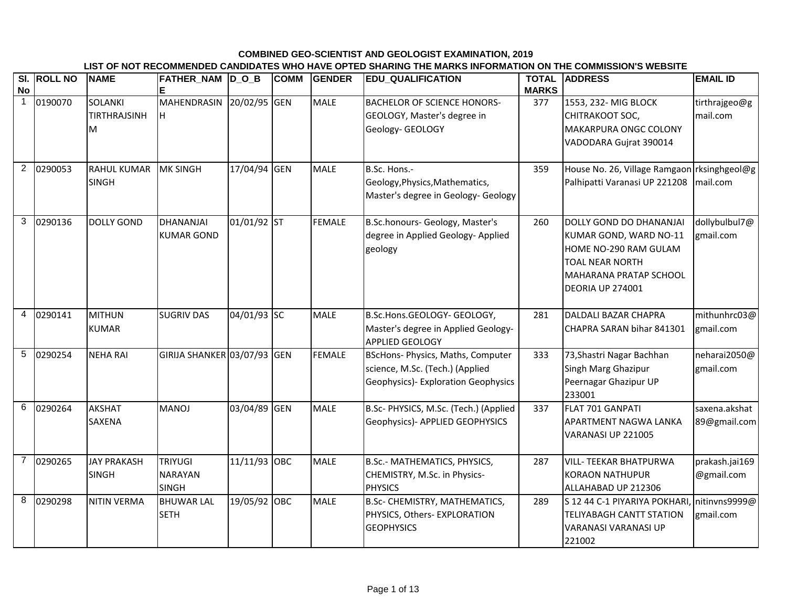## **COMBINED GEO-SCIENTIST AND GEOLOGIST EXAMINATION, 2019 LIST OF NOT RECOMMENDED CANDIDATES WHO HAVE OPTED SHARING THE MARKS INFORMATION ON THE COMMISSION'S WEBSITE**

| <b>No</b>      | SI. ROLL NO | <b>NAME</b>                                | FATHER_NAM D_O_B                                 |              | <b>COMM</b> | <b>GENDER</b> | <b>EDU_QUALIFICATION</b>                                                                                            | <b>TOTAL</b><br><b>MARKS</b> | <b>ADDRESS</b>                                                                                                                                                   | <b>EMAIL ID</b>               |
|----------------|-------------|--------------------------------------------|--------------------------------------------------|--------------|-------------|---------------|---------------------------------------------------------------------------------------------------------------------|------------------------------|------------------------------------------------------------------------------------------------------------------------------------------------------------------|-------------------------------|
| $\mathbf{1}$   | 0190070     | <b>SOLANKI</b><br><b>TIRTHRAJSINH</b><br>М | <b>MAHENDRASIN</b><br>H.                         | 20/02/95 GEN |             | <b>MALE</b>   | <b>BACHELOR OF SCIENCE HONORS-</b><br>GEOLOGY, Master's degree in<br>Geology- GEOLOGY                               | 377                          | 1553, 232- MIG BLOCK<br>CHITRAKOOT SOC,<br><b>MAKARPURA ONGC COLONY</b><br>VADODARA Gujrat 390014                                                                | tirthrajgeo@g<br>mail.com     |
| $\overline{2}$ | 0290053     | <b>RAHUL KUMAR</b><br><b>SINGH</b>         | <b>MK SINGH</b>                                  | 17/04/94 GEN |             | <b>MALE</b>   | B.Sc. Hons .-<br>Geology, Physics, Mathematics,<br>Master's degree in Geology- Geology                              | 359                          | House No. 26, Village Ramgaon rksinghgeol@g<br>Palhipatti Varanasi UP 221208   mail.com                                                                          |                               |
| 3              | 0290136     | <b>DOLLY GOND</b>                          | DHANANJAI<br><b>KUMAR GOND</b>                   | 01/01/92 ST  |             | <b>FEMALE</b> | B.Sc.honours- Geology, Master's<br>degree in Applied Geology- Applied<br>geology                                    | 260                          | DOLLY GOND DO DHANANJAI<br>KUMAR GOND, WARD NO-11<br>HOME NO-290 RAM GULAM<br><b>TOAL NEAR NORTH</b><br><b>MAHARANA PRATAP SCHOOL</b><br><b>DEORIA UP 274001</b> | dollybulbul7@<br>gmail.com    |
| 4              | 0290141     | <b>MITHUN</b><br><b>KUMAR</b>              | <b>SUGRIV DAS</b>                                | 04/01/93 SC  |             | <b>MALE</b>   | B.Sc.Hons.GEOLOGY- GEOLOGY,<br>Master's degree in Applied Geology-<br><b>APPLIED GEOLOGY</b>                        | 281                          | <b>DALDALI BAZAR CHAPRA</b><br>CHAPRA SARAN bihar 841301                                                                                                         | mithunhrc03@<br>gmail.com     |
| 5              | 0290254     | <b>NEHA RAI</b>                            | GIRIJA SHANKER 03/07/93 GEN                      |              |             | <b>FEMALE</b> | <b>BScHons- Physics, Maths, Computer</b><br>science, M.Sc. (Tech.) (Applied<br>Geophysics) - Exploration Geophysics | 333                          | 73, Shastri Nagar Bachhan<br>Singh Marg Ghazipur<br>Peernagar Ghazipur UP<br>233001                                                                              | neharai2050@<br>gmail.com     |
| 6              | 0290264     | <b>AKSHAT</b><br><b>SAXENA</b>             | <b>MANOJ</b>                                     | 03/04/89 GEN |             | <b>MALE</b>   | B.Sc- PHYSICS, M.Sc. (Tech.) (Applied<br>Geophysics)- APPLIED GEOPHYSICS                                            | 337                          | FLAT 701 GANPATI<br>APARTMENT NAGWA LANKA<br>VARANASI UP 221005                                                                                                  | saxena.akshat<br>89@gmail.com |
| $\overline{7}$ | 0290265     | <b>JAY PRAKASH</b><br><b>SINGH</b>         | <b>TRIYUGI</b><br><b>NARAYAN</b><br><b>SINGH</b> | 11/11/93 OBC |             | <b>MALE</b>   | B.Sc.- MATHEMATICS, PHYSICS,<br>CHEMISTRY, M.Sc. in Physics-<br><b>PHYSICS</b>                                      | 287                          | <b>VILL- TEEKAR BHATPURWA</b><br><b>KORAON NATHUPUR</b><br>ALLAHABAD UP 212306                                                                                   | prakash.jai169<br>@gmail.com  |
| 8              | 0290298     | <b>NITIN VERMA</b>                         | <b>BHUWAR LAL</b><br><b>SETH</b>                 | 19/05/92 OBC |             | <b>MALE</b>   | <b>B.Sc- CHEMISTRY, MATHEMATICS,</b><br>PHYSICS, Others- EXPLORATION<br><b>GEOPHYSICS</b>                           | 289                          | S 12 44 C-1 PIYARIYA POKHARI, nitinvns9999@<br><b>TELIYABAGH CANTT STATION</b><br><b>VARANASI VARANASI UP</b><br>221002                                          | gmail.com                     |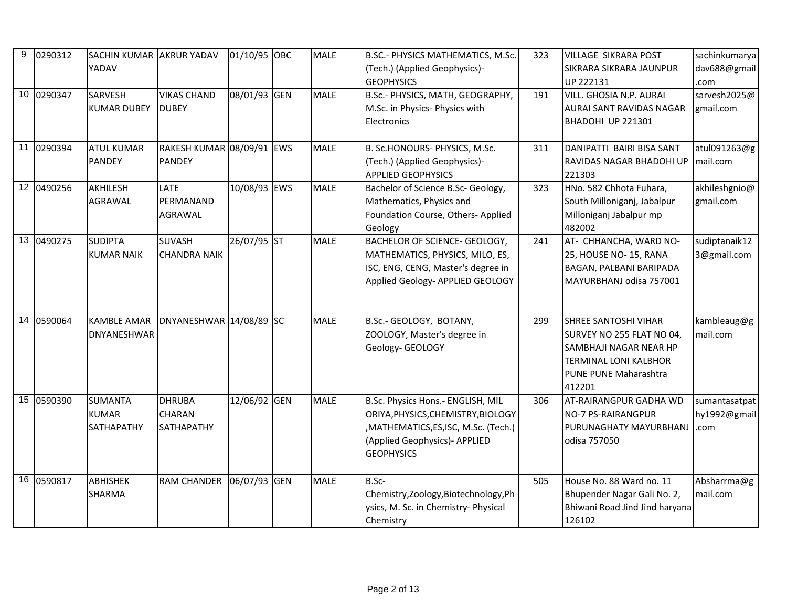| 9 | 0290312    | SACHIN KUMAR AKRUR YADAV                     |                                              | 01/10/95 OBC | <b>MALE</b> | B.SC.- PHYSICS MATHEMATICS, M.Sc.                                                                                                                                   | 323 | <b>VILLAGE SIKRARA POST</b>                                                                                                                                  | sachinkumarya                         |
|---|------------|----------------------------------------------|----------------------------------------------|--------------|-------------|---------------------------------------------------------------------------------------------------------------------------------------------------------------------|-----|--------------------------------------------------------------------------------------------------------------------------------------------------------------|---------------------------------------|
|   |            | YADAV                                        |                                              |              |             | (Tech.) (Applied Geophysics)-<br><b>GEOPHYSICS</b>                                                                                                                  |     | SIKRARA SIKRARA JAUNPUR<br>UP 222131                                                                                                                         | dav688@gmail<br>.com                  |
|   | 10 0290347 | <b>SARVESH</b><br><b>KUMAR DUBEY</b>         | <b>VIKAS CHAND</b><br><b>DUBEY</b>           | 08/01/93 GEN | <b>MALE</b> | B.Sc.- PHYSICS, MATH, GEOGRAPHY,<br>M.Sc. in Physics- Physics with<br>Electronics                                                                                   | 191 | VILL. GHOSIA N.P. AURAI<br><b>AURAI SANT RAVIDAS NAGAR</b><br>BHADOHI UP 221301                                                                              | sarvesh2025@<br>gmail.com             |
|   | 11 0290394 | <b>ATUL KUMAR</b><br><b>PANDEY</b>           | RAKESH KUMAR 08/09/91 EWS<br><b>PANDEY</b>   |              | <b>MALE</b> | B. Sc.HONOURS- PHYSICS, M.Sc.<br>(Tech.) (Applied Geophysics)-<br><b>APPLIED GEOPHYSICS</b>                                                                         | 311 | DANIPATTI BAIRI BISA SANT<br><b>RAVIDAS NAGAR BHADOHI UP</b><br>221303                                                                                       | atul091263@g<br>mail.com              |
|   | 12 0490256 | AKHILESH<br>AGRAWAL                          | LATE<br>PERMANAND<br><b>AGRAWAL</b>          | 10/08/93 EWS | <b>MALE</b> | Bachelor of Science B.Sc- Geology,<br>Mathematics, Physics and<br>Foundation Course, Others- Applied<br>Geology                                                     | 323 | HNo. 582 Chhota Fuhara,<br>South Milloniganj, Jabalpur<br>Milloniganj Jabalpur mp<br>482002                                                                  | akhileshgnio@<br>gmail.com            |
|   | 13 0490275 | <b>SUDIPTA</b><br><b>KUMAR NAIK</b>          | <b>SUVASH</b><br><b>CHANDRA NAIK</b>         | 26/07/95 ST  | <b>MALE</b> | BACHELOR OF SCIENCE- GEOLOGY,<br>MATHEMATICS, PHYSICS, MILO, ES,<br>ISC, ENG, CENG, Master's degree in<br>Applied Geology- APPLIED GEOLOGY                          | 241 | AT- CHHANCHA, WARD NO-<br>25, HOUSE NO- 15, RANA<br>BAGAN, PALBANI BARIPADA<br>MAYURBHANJ odisa 757001                                                       | sudiptanaik12<br>3@gmail.com          |
|   | 14 0590064 | <b>KAMBLE AMAR</b><br>DNYANESHWAR            | DNYANESHWAR 14/08/89 SC                      |              | <b>MALE</b> | B.Sc.- GEOLOGY, BOTANY,<br>ZOOLOGY, Master's degree in<br>Geology- GEOLOGY                                                                                          | 299 | <b>SHREE SANTOSHI VIHAR</b><br>SURVEY NO 255 FLAT NO 04,<br><b>SAMBHAJI NAGAR NEAR HP</b><br><b>TERMINAL LONI KALBHOR</b><br>PUNE PUNE Maharashtra<br>412201 | kambleaug@g<br>mail.com               |
|   | 15 0590390 | <b>SUMANTA</b><br><b>KUMAR</b><br>SATHAPATHY | <b>DHRUBA</b><br><b>CHARAN</b><br>SATHAPATHY | 12/06/92 GEN | <b>MALE</b> | B.Sc. Physics Hons.- ENGLISH, MIL<br>ORIYA, PHYSICS, CHEMISTRY, BIOLOGY<br>,MATHEMATICS,ES,ISC, M.Sc. (Tech.)<br>(Applied Geophysics)- APPLIED<br><b>GEOPHYSICS</b> | 306 | <b>AT-RAIRANGPUR GADHA WD</b><br><b>NO-7 PS-RAIRANGPUR</b><br>PURUNAGHATY MAYURBHANJ<br>odisa 757050                                                         | sumantasatpat<br>hy1992@gmail<br>.com |
|   | 16 0590817 | <b>ABHISHEK</b><br>SHARMA                    | <b>RAM CHANDER</b>                           | 06/07/93 GEN | <b>MALE</b> | B.Sc-<br>Chemistry, Zoology, Biotechnology, Ph<br>ysics, M. Sc. in Chemistry- Physical<br>Chemistry                                                                 | 505 | House No. 88 Ward no. 11<br>Bhupender Nagar Gali No. 2,<br>Bhiwani Road Jind Jind haryana<br>126102                                                          | Absharrma@g<br>mail.com               |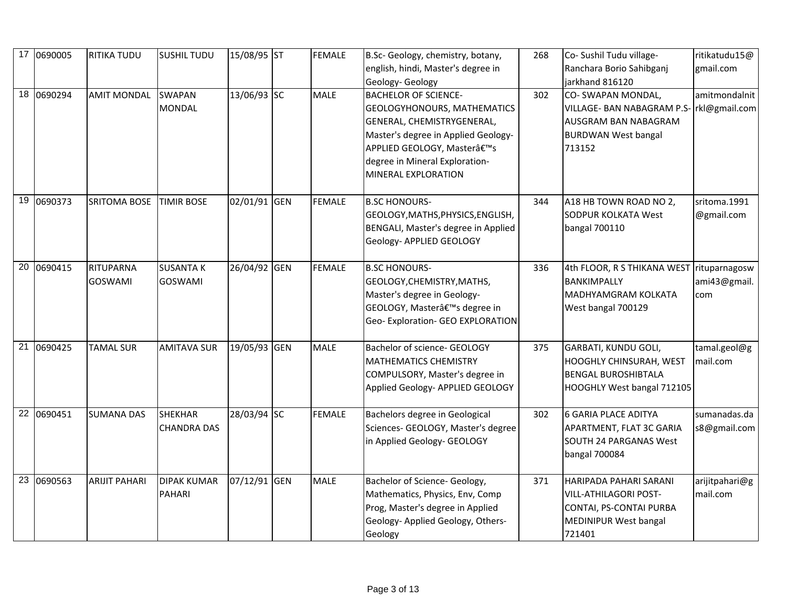| 17 0690005 | <b>RITIKA TUDU</b>                 | <b>SUSHIL TUDU</b>                   | 15/08/95 ST  | <b>FEMALE</b> | B.Sc- Geology, chemistry, botany,<br>english, hindi, Master's degree in<br>Geology- Geology                                                                                                                                  | 268 | Co- Sushil Tudu village-<br>Ranchara Borio Sahibganj<br>jarkhand 816120                                                   | ritikatudu15@<br>gmail.com           |
|------------|------------------------------------|--------------------------------------|--------------|---------------|------------------------------------------------------------------------------------------------------------------------------------------------------------------------------------------------------------------------------|-----|---------------------------------------------------------------------------------------------------------------------------|--------------------------------------|
| 18 0690294 | <b>AMIT MONDAL</b>                 | <b>SWAPAN</b><br><b>MONDAL</b>       | 13/06/93 SC  | <b>MALE</b>   | <b>BACHELOR OF SCIENCE-</b><br>GEOLOGYHONOURS, MATHEMATICS<br>GENERAL, CHEMISTRYGENERAL,<br>Master's degree in Applied Geology-<br>APPLIED GEOLOGY, Master's<br>degree in Mineral Exploration-<br><b>MINERAL EXPLORATION</b> | 302 | CO-SWAPAN MONDAL,<br><b>VILLAGE- BAN NABAGRAM P.S-</b><br>AUSGRAM BAN NABAGRAM<br><b>BURDWAN West bangal</b><br>713152    | amitmondalnit<br>rkl@gmail.com       |
| 19 0690373 | <b>SRITOMA BOSE</b>                | <b>TIMIR BOSE</b>                    | 02/01/91 GEN | <b>FEMALE</b> | <b>B.SC HONOURS-</b><br>GEOLOGY, MATHS, PHYSICS, ENGLISH,<br>BENGALI, Master's degree in Applied<br>Geology- APPLIED GEOLOGY                                                                                                 | 344 | A18 HB TOWN ROAD NO 2,<br><b>SODPUR KOLKATA West</b><br>bangal 700110                                                     | sritoma.1991<br>@gmail.com           |
| 20 0690415 | <b>RITUPARNA</b><br><b>GOSWAMI</b> | <b>SUSANTA K</b><br><b>GOSWAMI</b>   | 26/04/92 GEN | <b>FEMALE</b> | <b>B.SC HONOURS-</b><br>GEOLOGY, CHEMISTRY, MATHS,<br>Master's degree in Geology-<br>GEOLOGY, Master's degree in<br>Geo- Exploration- GEO EXPLORATION                                                                        | 336 | 4th FLOOR, R S THIKANA WEST<br>BANKIMPALLY<br><b>MADHYAMGRAM KOLKATA</b><br>West bangal 700129                            | rituparnagosw<br>ami43@gmail.<br>com |
| 21 0690425 | <b>TAMAL SUR</b>                   | <b>AMITAVA SUR</b>                   | 19/05/93 GEN | <b>MALE</b>   | Bachelor of science- GEOLOGY<br><b>MATHEMATICS CHEMISTRY</b><br>COMPULSORY, Master's degree in<br>Applied Geology- APPLIED GEOLOGY                                                                                           | 375 | <b>GARBATI, KUNDU GOLI,</b><br><b>HOOGHLY CHINSURAH, WEST</b><br><b>BENGAL BUROSHIBTALA</b><br>HOOGHLY West bangal 712105 | tamal.geol@g<br>mail.com             |
| 22 0690451 | <b>SUMANA DAS</b>                  | <b>SHEKHAR</b><br><b>CHANDRA DAS</b> | 28/03/94 SC  | <b>FEMALE</b> | Bachelors degree in Geological<br>Sciences- GEOLOGY, Master's degree<br>in Applied Geology- GEOLOGY                                                                                                                          | 302 | <b>6 GARIA PLACE ADITYA</b><br>APARTMENT, FLAT 3C GARIA<br><b>SOUTH 24 PARGANAS West</b><br>bangal 700084                 | sumanadas.da<br>s8@gmail.com         |
| 23 0690563 | <b>ARIJIT PAHARI</b>               | <b>DIPAK KUMAR</b><br><b>PAHARI</b>  | 07/12/91 GEN | <b>MALE</b>   | Bachelor of Science- Geology,<br>Mathematics, Physics, Env, Comp<br>Prog, Master's degree in Applied<br>Geology- Applied Geology, Others-<br>Geology                                                                         | 371 | HARIPADA PAHARI SARANI<br><b>VILL-ATHILAGORI POST-</b><br>CONTAI, PS-CONTAI PURBA<br>MEDINIPUR West bangal<br>721401      | arijitpahari@g<br>mail.com           |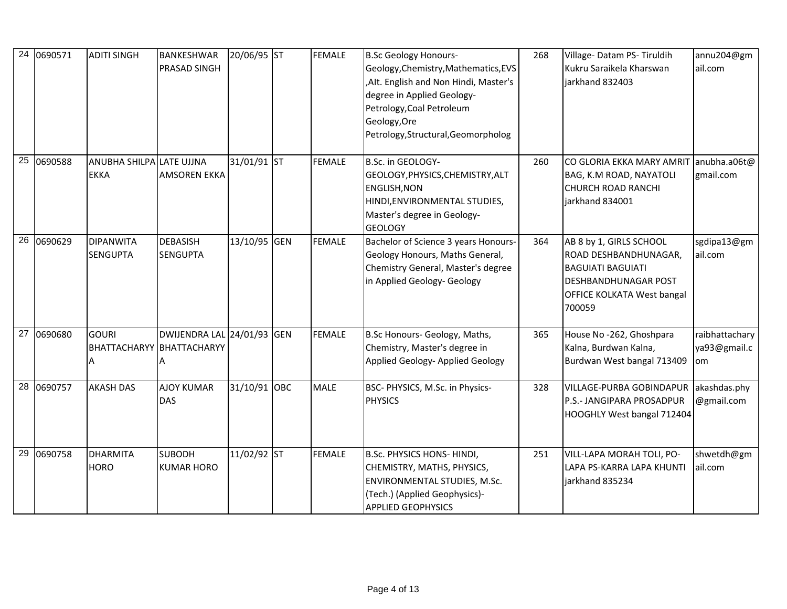| 24 0690571 | <b>ADITI SINGH</b>                      | <b>BANKESHWAR</b><br><b>PRASAD SINGH</b>                       | 20/06/95 ST  | <b>FEMALE</b> | <b>B.Sc Geology Honours-</b><br>Geology, Chemistry, Mathematics, EVS<br>, Alt. English and Non Hindi, Master's<br>degree in Applied Geology-<br>Petrology, Coal Petroleum<br>Geology, Ore<br>Petrology, Structural, Geomorpholog | 268 | Village-Datam PS-Tiruldih<br>Kukru Saraikela Kharswan<br>jarkhand 832403                                                                            | annu204@gm<br>ail.com                |
|------------|-----------------------------------------|----------------------------------------------------------------|--------------|---------------|----------------------------------------------------------------------------------------------------------------------------------------------------------------------------------------------------------------------------------|-----|-----------------------------------------------------------------------------------------------------------------------------------------------------|--------------------------------------|
| 25 0690588 | ANUBHA SHILPA LATE UJJNA<br><b>EKKA</b> | <b>AMSOREN EKKA</b>                                            | 31/01/91 ST  | <b>FEMALE</b> | B.Sc. in GEOLOGY-<br>GEOLOGY, PHYSICS, CHEMISTRY, ALT<br><b>ENGLISH, NON</b><br>HINDI, ENVIRONMENTAL STUDIES,<br>Master's degree in Geology-<br><b>GEOLOGY</b>                                                                   | 260 | CO GLORIA EKKA MARY AMRIT anubha.a06t@<br>BAG, K.M ROAD, NAYATOLI<br><b>CHURCH ROAD RANCHI</b><br>jarkhand 834001                                   | gmail.com                            |
| 26 0690629 | <b>DIPANWITA</b><br><b>SENGUPTA</b>     | <b>DEBASISH</b><br><b>SENGUPTA</b>                             | 13/10/95 GEN | <b>FEMALE</b> | Bachelor of Science 3 years Honours-<br>Geology Honours, Maths General,<br>Chemistry General, Master's degree<br>in Applied Geology- Geology                                                                                     | 364 | AB 8 by 1, GIRLS SCHOOL<br>ROAD DESHBANDHUNAGAR,<br><b>BAGUIATI BAGUIATI</b><br>DESHBANDHUNAGAR POST<br><b>OFFICE KOLKATA West bangal</b><br>700059 | sgdipa13@gm<br>ail.com               |
| 27 0690680 | <b>GOURI</b>                            | DWIJENDRA LAL 24/01/93 GEN<br><b>BHATTACHARYY BHATTACHARYY</b> |              | <b>FEMALE</b> | B.Sc Honours- Geology, Maths,<br>Chemistry, Master's degree in<br>Applied Geology- Applied Geology                                                                                                                               | 365 | House No -262, Ghoshpara<br>Kalna, Burdwan Kalna,<br>Burdwan West bangal 713409                                                                     | raibhattachary<br>ya93@gmail.c<br>om |
| 28 0690757 | <b>AKASH DAS</b>                        | <b>AJOY KUMAR</b><br><b>DAS</b>                                | 31/10/91 OBC | <b>MALE</b>   | BSC- PHYSICS, M.Sc. in Physics-<br><b>PHYSICS</b>                                                                                                                                                                                | 328 | VILLAGE-PURBA GOBINDAPUR akashdas.phy<br>P.S.- JANGIPARA PROSADPUR<br>HOOGHLY West bangal 712404                                                    | @gmail.com                           |
| 29 0690758 | <b>DHARMITA</b><br><b>HORO</b>          | <b>SUBODH</b><br><b>KUMAR HORO</b>                             | 11/02/92 ST  | <b>FEMALE</b> | B.Sc. PHYSICS HONS- HINDI,<br>CHEMISTRY, MATHS, PHYSICS,<br>ENVIRONMENTAL STUDIES, M.Sc.<br>(Tech.) (Applied Geophysics)-<br><b>APPLIED GEOPHYSICS</b>                                                                           | 251 | VILL-LAPA MORAH TOLI, PO-<br>LAPA PS-KARRA LAPA KHUNTI<br>jarkhand 835234                                                                           | shwetdh@gm<br>ail.com                |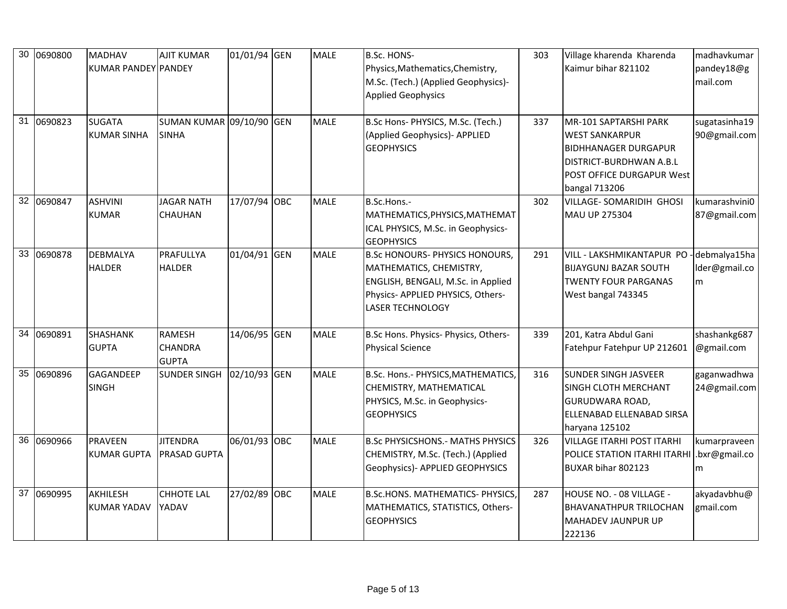| 30 | 0690800    | <b>MADHAV</b><br>KUMAR PANDEY PANDEY  | <b>AJIT KUMAR</b>                               | 01/01/94 GEN | <b>MALE</b> | B.Sc. HONS-<br>Physics, Mathematics, Chemistry,<br>M.Sc. (Tech.) (Applied Geophysics)-<br><b>Applied Geophysics</b>                                                    | 303 | Village kharenda Kharenda<br>Kaimur bihar 821102                                                                                                       | madhavkumar<br>pandey18@g<br>mail.com |
|----|------------|---------------------------------------|-------------------------------------------------|--------------|-------------|------------------------------------------------------------------------------------------------------------------------------------------------------------------------|-----|--------------------------------------------------------------------------------------------------------------------------------------------------------|---------------------------------------|
|    | 31 0690823 | <b>SUGATA</b><br><b>KUMAR SINHA</b>   | SUMAN KUMAR 09/10/90 GEN<br><b>SINHA</b>        |              | <b>MALE</b> | B.Sc Hons- PHYSICS, M.Sc. (Tech.)<br>(Applied Geophysics)- APPLIED<br><b>GEOPHYSICS</b>                                                                                | 337 | MR-101 SAPTARSHI PARK<br><b>WEST SANKARPUR</b><br><b>BIDHHANAGER DURGAPUR</b><br>DISTRICT-BURDHWAN A.B.L<br>POST OFFICE DURGAPUR West<br>bangal 713206 | sugatasinha19<br>90@gmail.com         |
|    | 32 0690847 | <b>ASHVINI</b><br><b>KUMAR</b>        | <b>JAGAR NATH</b><br><b>CHAUHAN</b>             | 17/07/94 OBC | <b>MALE</b> | B.Sc.Hons .-<br>MATHEMATICS, PHYSICS, MATHEMAT<br>ICAL PHYSICS, M.Sc. in Geophysics-<br><b>GEOPHYSICS</b>                                                              | 302 | <b>VILLAGE- SOMARIDIH GHOSI</b><br>MAU UP 275304                                                                                                       | kumarashvini0<br>87@gmail.com         |
|    | 33 0690878 | <b>DEBMALYA</b><br><b>HALDER</b>      | PRAFULLYA<br><b>HALDER</b>                      | 01/04/91 GEN | MALE        | <b>B.Sc HONOURS- PHYSICS HONOURS,</b><br>MATHEMATICS, CHEMISTRY,<br>ENGLISH, BENGALI, M.Sc. in Applied<br>Physics- APPLIED PHYSICS, Others-<br><b>LASER TECHNOLOGY</b> | 291 | VILL - LAKSHMIKANTAPUR PO<br><b>BIJAYGUNJ BAZAR SOUTH</b><br><b>TWENTY FOUR PARGANAS</b><br>West bangal 743345                                         | debmalya15ha<br>Ider@gmail.co<br>m    |
|    | 34 0690891 | <b>SHASHANK</b><br><b>GUPTA</b>       | <b>RAMESH</b><br><b>CHANDRA</b><br><b>GUPTA</b> | 14/06/95 GEN | <b>MALE</b> | B.Sc Hons. Physics- Physics, Others-<br><b>Physical Science</b>                                                                                                        | 339 | 201, Katra Abdul Gani<br>Fatehpur Fatehpur UP 212601                                                                                                   | shashankg687<br>@gmail.com            |
|    | 35 0690896 | <b>GAGANDEEP</b><br><b>SINGH</b>      | <b>SUNDER SINGH</b>                             | 02/10/93 GEN | <b>MALE</b> | B.Sc. Hons.- PHYSICS, MATHEMATICS,<br>CHEMISTRY, MATHEMATICAL<br>PHYSICS, M.Sc. in Geophysics-<br><b>GEOPHYSICS</b>                                                    | 316 | <b>SUNDER SINGH JASVEER</b><br><b>SINGH CLOTH MERCHANT</b><br><b>GURUDWARA ROAD,</b><br>ELLENABAD ELLENABAD SIRSA<br>haryana 125102                    | gaganwadhwa<br>24@gmail.com           |
|    | 36 0690966 | <b>PRAVEEN</b><br><b>KUMAR GUPTA</b>  | <b>JITENDRA</b><br><b>PRASAD GUPTA</b>          | 06/01/93 OBC | <b>MALE</b> | <b>B.Sc PHYSICSHONS.- MATHS PHYSICS</b><br>CHEMISTRY, M.Sc. (Tech.) (Applied<br>Geophysics)- APPLIED GEOPHYSICS                                                        | 326 | <b>VILLAGE ITARHI POST ITARHI</b><br>POLICE STATION ITARHI ITARHI<br>BUXAR bihar 802123                                                                | kumarpraveen<br>.bxr@gmail.co<br>m    |
|    | 37 0690995 | <b>AKHILESH</b><br><b>KUMAR YADAV</b> | <b>CHHOTE LAL</b><br>YADAV                      | 27/02/89 OBC | <b>MALE</b> | B.Sc.HONS. MATHEMATICS- PHYSICS,<br>MATHEMATICS, STATISTICS, Others-<br><b>GEOPHYSICS</b>                                                                              | 287 | HOUSE NO. - 08 VILLAGE -<br><b>BHAVANATHPUR TRILOCHAN</b><br><b>MAHADEV JAUNPUR UP</b><br>222136                                                       | akyadavbhu@<br>gmail.com              |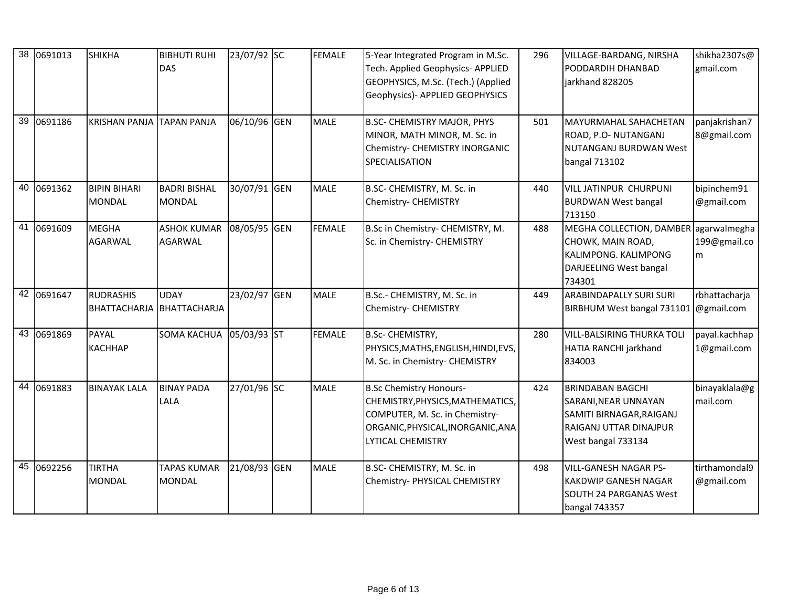| 38 0691013 | <b>SHIKHA</b>                        | <b>BIBHUTI RUHI</b><br><b>DAS</b>        | 23/07/92 SC  | <b>FEMALE</b> | 5-Year Integrated Program in M.Sc.<br>Tech. Applied Geophysics-APPLIED<br>GEOPHYSICS, M.Sc. (Tech.) (Applied<br>Geophysics)- APPLIED GEOPHYSICS                       | 296 | <b>VILLAGE-BARDANG, NIRSHA</b><br>PODDARDIH DHANBAD<br>jarkhand 828205                                                      | shikha2307s@<br>gmail.com         |
|------------|--------------------------------------|------------------------------------------|--------------|---------------|-----------------------------------------------------------------------------------------------------------------------------------------------------------------------|-----|-----------------------------------------------------------------------------------------------------------------------------|-----------------------------------|
| 39 0691186 | <b>KRISHAN PANJA</b>                 | <b>TAPAN PANJA</b>                       | 06/10/96 GEN | <b>MALE</b>   | <b>B.SC- CHEMISTRY MAJOR, PHYS</b><br>MINOR, MATH MINOR, M. Sc. in<br>Chemistry- CHEMISTRY INORGANIC<br>SPECIALISATION                                                | 501 | MAYURMAHAL SAHACHETAN<br>ROAD, P.O- NUTANGANJ<br><b>NUTANGANJ BURDWAN West</b><br>bangal 713102                             | panjakrishan7<br>8@gmail.com      |
| 40 0691362 | <b>BIPIN BIHARI</b><br><b>MONDAL</b> | <b>BADRI BISHAL</b><br><b>MONDAL</b>     | 30/07/91 GEN | <b>MALE</b>   | B.SC- CHEMISTRY, M. Sc. in<br>Chemistry- CHEMISTRY                                                                                                                    | 440 | <b>VILL JATINPUR CHURPUNI</b><br><b>BURDWAN West bangal</b><br>713150                                                       | bipinchem91<br>@gmail.com         |
| 41 0691609 | <b>MEGHA</b><br><b>AGARWAL</b>       | <b>ASHOK KUMAR</b><br><b>AGARWAL</b>     | 08/05/95 GEN | <b>FEMALE</b> | B.Sc in Chemistry- CHEMISTRY, M.<br>Sc. in Chemistry- CHEMISTRY                                                                                                       | 488 | MEGHA COLLECTION, DAMBER<br>CHOWK, MAIN ROAD,<br>KALIMPONG. KALIMPONG<br>DARJEELING West bangal<br>734301                   | agarwalmegha<br>199@gmail.co<br>m |
| 42 0691647 | <b>RUDRASHIS</b>                     | <b>UDAY</b><br>BHATTACHARJA BHATTACHARJA | 23/02/97 GEN | <b>MALE</b>   | B.Sc.- CHEMISTRY, M. Sc. in<br>Chemistry- CHEMISTRY                                                                                                                   | 449 | <b>ARABINDAPALLY SURI SURI</b><br>BIRBHUM West bangal 731101                                                                | rbhattacharja<br>@gmail.com       |
| 43 0691869 | PAYAL<br><b>KACHHAP</b>              | <b>SOMA KACHUA</b>                       | 05/03/93 ST  | <b>FEMALE</b> | <b>B.Sc- CHEMISTRY,</b><br>PHYSICS, MATHS, ENGLISH, HINDI, EVS,<br>M. Sc. in Chemistry- CHEMISTRY                                                                     | 280 | <b>VILL-BALSIRING THURKA TOLI</b><br>HATIA RANCHI jarkhand<br>834003                                                        | payal.kachhap<br>1@gmail.com      |
| 44 0691883 | <b>BINAYAK LALA</b>                  | <b>BINAY PADA</b><br>LALA                | 27/01/96 SC  | <b>MALE</b>   | <b>B.Sc Chemistry Honours-</b><br>CHEMISTRY, PHYSICS, MATHEMATICS,<br>COMPUTER, M. Sc. in Chemistry-<br>ORGANIC, PHYSICAL, INORGANIC, ANA<br><b>LYTICAL CHEMISTRY</b> | 424 | <b>BRINDABAN BAGCHI</b><br>SARANI, NEAR UNNAYAN<br>SAMITI BIRNAGAR, RAIGANJ<br>RAIGANJ UTTAR DINAJPUR<br>West bangal 733134 | binayaklala@g<br>mail.com         |
| 45 0692256 | <b>TIRTHA</b><br><b>MONDAL</b>       | <b>TAPAS KUMAR</b><br><b>MONDAL</b>      | 21/08/93 GEN | <b>MALE</b>   | B.SC- CHEMISTRY, M. Sc. in<br>Chemistry- PHYSICAL CHEMISTRY                                                                                                           | 498 | <b>VILL-GANESH NAGAR PS-</b><br><b>KAKDWIP GANESH NAGAR</b><br><b>SOUTH 24 PARGANAS West</b><br>bangal 743357               | tirthamondal9<br>@gmail.com       |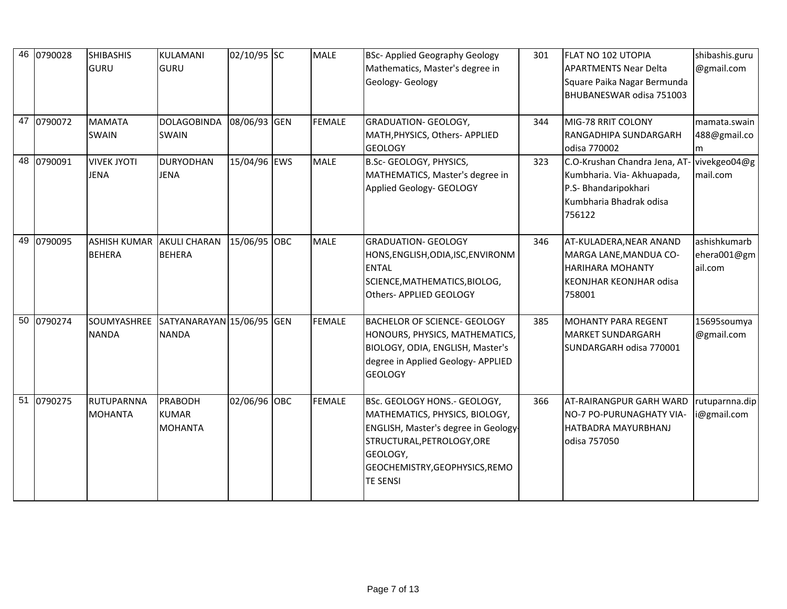| 46 | 0790028    | <b>SHIBASHIS</b><br><b>GURU</b>      | KULAMANI<br><b>GURU</b>                   | 02/10/95 SC  | <b>MALE</b>   | <b>BSc-Applied Geography Geology</b><br>Mathematics, Master's degree in<br>Geology- Geology                                                                                                           | 301 | <b>FLAT NO 102 UTOPIA</b><br><b>APARTMENTS Near Delta</b><br>Square Paika Nagar Bermunda<br>BHUBANESWAR odisa 751003                  | shibashis.guru<br>@gmail.com           |
|----|------------|--------------------------------------|-------------------------------------------|--------------|---------------|-------------------------------------------------------------------------------------------------------------------------------------------------------------------------------------------------------|-----|---------------------------------------------------------------------------------------------------------------------------------------|----------------------------------------|
|    | 47 0790072 | <b>MAMATA</b><br><b>SWAIN</b>        | <b>DOLAGOBINDA</b><br><b>SWAIN</b>        | 08/06/93 GEN | <b>FEMALE</b> | <b>GRADUATION- GEOLOGY,</b><br>MATH, PHYSICS, Others- APPLIED<br><b>GEOLOGY</b>                                                                                                                       | 344 | MIG-78 RRIT COLONY<br>RANGADHIPA SUNDARGARH<br>odisa 770002                                                                           | mamata.swain<br>488@gmail.co<br>m      |
|    | 48 0790091 | <b>VIVEK JYOTI</b><br><b>JENA</b>    | <b>DURYODHAN</b><br><b>JENA</b>           | 15/04/96 EWS | <b>MALE</b>   | B.Sc- GEOLOGY, PHYSICS,<br>MATHEMATICS, Master's degree in<br>Applied Geology- GEOLOGY                                                                                                                | 323 | C.O-Krushan Chandra Jena, AT- vivekgeo04@g<br>Kumbharia. Via- Akhuapada,<br>P.S- Bhandaripokhari<br>Kumbharia Bhadrak odisa<br>756122 | mail.com                               |
|    | 49 0790095 | <b>ASHISH KUMAR</b><br><b>BEHERA</b> | <b>AKULI CHARAN</b><br><b>BEHERA</b>      | 15/06/95 OBC | <b>MALE</b>   | <b>GRADUATION- GEOLOGY</b><br>HONS, ENGLISH, ODIA, ISC, ENVIRONM<br><b>ENTAL</b><br>SCIENCE, MATHEMATICS, BIOLOG,<br>Others- APPLIED GEOLOGY                                                          | 346 | AT-KULADERA, NEAR ANAND<br>MARGA LANE, MANDUA CO-<br><b>HARIHARA MOHANTY</b><br><b>KEONJHAR KEONJHAR odisa</b><br>758001              | ashishkumarb<br>ehera001@gm<br>ail.com |
|    | 50 0790274 | SOUMYASHREE<br><b>NANDA</b>          | SATYANARAYAN 15/06/95 GEN<br><b>NANDA</b> |              | <b>FEMALE</b> | <b>BACHELOR OF SCIENCE- GEOLOGY</b><br>HONOURS, PHYSICS, MATHEMATICS,<br>BIOLOGY, ODIA, ENGLISH, Master's<br>degree in Applied Geology- APPLIED<br><b>GEOLOGY</b>                                     | 385 | <b>MOHANTY PARA REGENT</b><br><b>MARKET SUNDARGARH</b><br>SUNDARGARH odisa 770001                                                     | 15695soumya<br>@gmail.com              |
|    | 51 0790275 | RUTUPARNNA<br><b>MOHANTA</b>         | PRABODH<br><b>KUMAR</b><br><b>MOHANTA</b> | 02/06/96 OBC | <b>FEMALE</b> | BSc. GEOLOGY HONS.- GEOLOGY,<br>MATHEMATICS, PHYSICS, BIOLOGY,<br>ENGLISH, Master's degree in Geology-<br>STRUCTURAL, PETROLOGY, ORE<br>GEOLOGY,<br>GEOCHEMISTRY, GEOPHYSICS, REMO<br><b>TE SENSI</b> | 366 | <b>AT-RAIRANGPUR GARH WARD</b><br>NO-7 PO-PURUNAGHATY VIA-<br>HATBADRA MAYURBHANJ<br>odisa 757050                                     | rutuparnna.dip<br>i@gmail.com          |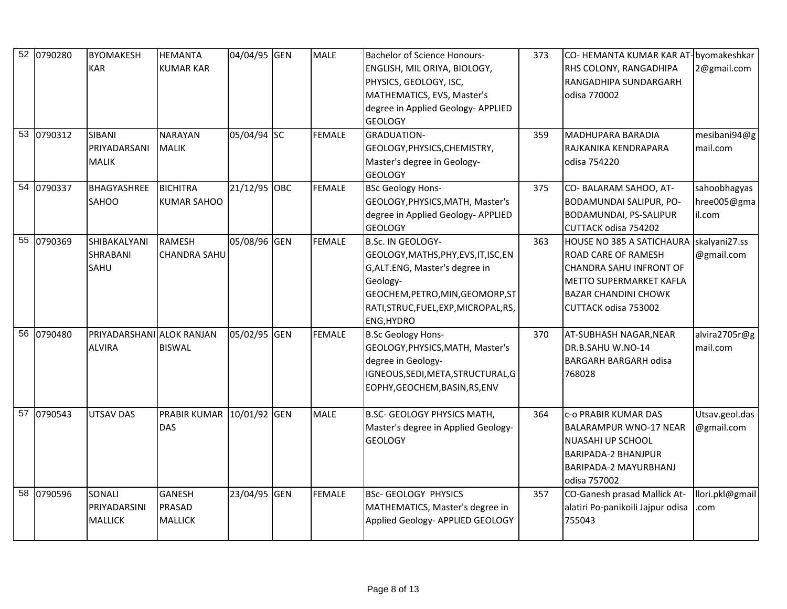| 52 0790280 | <b>BYOMAKESH</b>                           | <b>HEMANTA</b>                                   | 04/04/95 GEN | <b>MALE</b>   | <b>Bachelor of Science Honours-</b>                                                                                                                                                                               | 373 | CO- HEMANTA KUMAR KAR AT-byomakeshkar                                                                                                                                                     |                                       |
|------------|--------------------------------------------|--------------------------------------------------|--------------|---------------|-------------------------------------------------------------------------------------------------------------------------------------------------------------------------------------------------------------------|-----|-------------------------------------------------------------------------------------------------------------------------------------------------------------------------------------------|---------------------------------------|
|            | <b>KAR</b>                                 | <b>KUMAR KAR</b>                                 |              |               | ENGLISH, MIL ORIYA, BIOLOGY,<br>PHYSICS, GEOLOGY, ISC,<br>MATHEMATICS, EVS, Master's<br>degree in Applied Geology- APPLIED                                                                                        |     | RHS COLONY, RANGADHIPA<br>RANGADHIPA SUNDARGARH<br>odisa 770002                                                                                                                           | 2@gmail.com                           |
| 53 0790312 | <b>SIBANI</b>                              | <b>NARAYAN</b>                                   | 05/04/94 SC  | <b>FEMALE</b> | <b>GEOLOGY</b><br><b>GRADUATION-</b>                                                                                                                                                                              | 359 | <b>MADHUPARA BARADIA</b>                                                                                                                                                                  | mesibani94@g                          |
|            | PRIYADARSANI<br><b>MALIK</b>               | <b>MALIK</b>                                     |              |               | GEOLOGY, PHYSICS, CHEMISTRY,<br>Master's degree in Geology-<br><b>GEOLOGY</b>                                                                                                                                     |     | RAJKANIKA KENDRAPARA<br>odisa 754220                                                                                                                                                      | mail.com                              |
| 54 0790337 | <b>BHAGYASHREE</b><br><b>SAHOO</b>         | <b>BICHITRA</b><br><b>KUMAR SAHOO</b>            | 21/12/95 OBC | <b>FEMALE</b> | <b>BSc Geology Hons-</b><br>GEOLOGY, PHYSICS, MATH, Master's<br>degree in Applied Geology- APPLIED<br><b>GEOLOGY</b>                                                                                              | 375 | CO-BALARAM SAHOO, AT-<br><b>BODAMUNDAI SALIPUR, PO-</b><br>BODAMUNDAI, PS-SALIPUR<br>CUTTACK odisa 754202                                                                                 | sahoobhagyas<br>hree005@gma<br>il.com |
| 55 0790369 | SHIBAKALYANI<br><b>SHRABANI</b><br>SAHU    | <b>RAMESH</b><br><b>CHANDRA SAHU</b>             | 05/08/96 GEN | <b>FEMALE</b> | <b>B.Sc. IN GEOLOGY-</b><br>GEOLOGY, MATHS, PHY, EVS, IT, ISC, EN<br>G, ALT.ENG, Master's degree in<br>Geology-<br>GEOCHEM, PETRO, MIN, GEOMORP, ST<br>RATI, STRUC, FUEL, EXP, MICROPAL, RS,<br><b>ENG, HYDRO</b> | 363 | <b>HOUSE NO 385 A SATICHAURA</b><br><b>ROAD CARE OF RAMESH</b><br>CHANDRA SAHU INFRONT OF<br><b>METTO SUPERMARKET KAFLA</b><br><b>BAZAR CHANDINI CHOWK</b><br><b>CUTTACK odisa 753002</b> | skalyani27.ss<br>@gmail.com           |
| 56 0790480 | PRIYADARSHANI ALOK RANJAN<br><b>ALVIRA</b> | <b>BISWAL</b>                                    | 05/02/95 GEN | <b>FEMALE</b> | <b>B.Sc Geology Hons-</b><br>GEOLOGY, PHYSICS, MATH, Master's<br>degree in Geology-<br>IGNEOUS, SEDI, META, STRUCTURAL, G<br>EOPHY, GEOCHEM, BASIN, RS, ENV                                                       | 370 | AT-SUBHASH NAGAR, NEAR<br>DR.B.SAHU W.NO-14<br><b>BARGARH BARGARH odisa</b><br>768028                                                                                                     | alvira2705r@g<br>mail.com             |
| 57 0790543 | <b>UTSAV DAS</b>                           | PRABIR KUMAR 10/01/92 GEN<br><b>DAS</b>          |              | <b>MALE</b>   | <b>B.SC- GEOLOGY PHYSICS MATH,</b><br>Master's degree in Applied Geology-<br><b>GEOLOGY</b>                                                                                                                       | 364 | <b>C-O PRABIR KUMAR DAS</b><br><b>BALARAMPUR WNO-17 NEAR</b><br><b>NUASAHI UP SCHOOL</b><br><b>BARIPADA-2 BHANJPUR</b><br>BARIPADA-2 MAYURBHANJ<br>odisa 757002                           | Utsav.geol.das<br>@gmail.com          |
| 58 0790596 | SONALI<br>PRIYADARSINI<br><b>MALLICK</b>   | <b>GANESH</b><br><b>PRASAD</b><br><b>MALLICK</b> | 23/04/95 GEN | <b>FEMALE</b> | <b>BSc- GEOLOGY PHYSICS</b><br>MATHEMATICS, Master's degree in<br>Applied Geology- APPLIED GEOLOGY                                                                                                                | 357 | CO-Ganesh prasad Mallick At-<br>alatiri Po-panikoili Jajpur odisa<br>755043                                                                                                               | llori.pkl@gmail<br>.com               |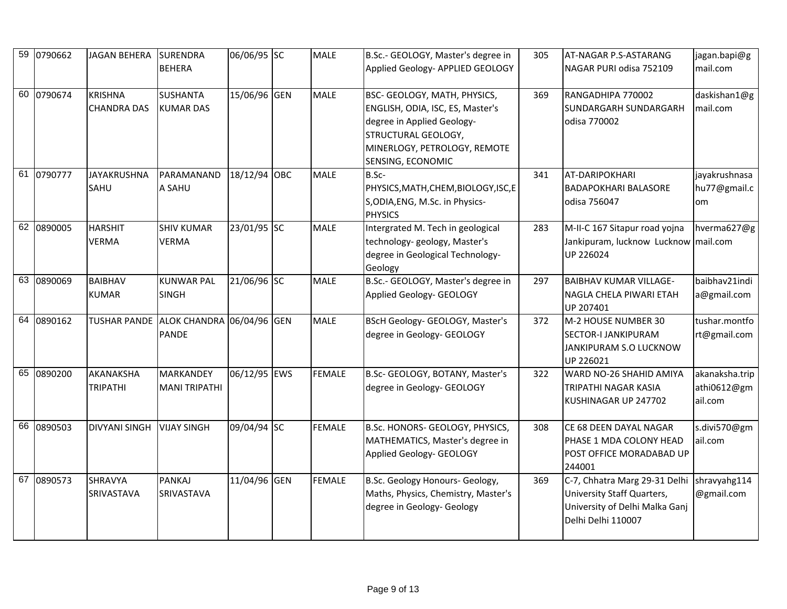| 59 0790662 | <b>JAGAN BEHERA</b>                  | <b>SURENDRA</b>                                        | 06/06/95 SC  | <b>MALE</b>   | B.Sc.- GEOLOGY, Master's degree in                                                                                                                                         | 305 | AT-NAGAR P.S-ASTARANG                                                                                                            | jagan.bapi@g                             |
|------------|--------------------------------------|--------------------------------------------------------|--------------|---------------|----------------------------------------------------------------------------------------------------------------------------------------------------------------------------|-----|----------------------------------------------------------------------------------------------------------------------------------|------------------------------------------|
|            |                                      | <b>BEHERA</b>                                          |              |               | Applied Geology- APPLIED GEOLOGY                                                                                                                                           |     | NAGAR PURI odisa 752109                                                                                                          | mail.com                                 |
| 60 0790674 | <b>KRISHNA</b><br><b>CHANDRA DAS</b> | <b>SUSHANTA</b><br><b>KUMAR DAS</b>                    | 15/06/96 GEN | <b>MALE</b>   | BSC- GEOLOGY, MATH, PHYSICS,<br>ENGLISH, ODIA, ISC, ES, Master's<br>degree in Applied Geology-<br>STRUCTURAL GEOLOGY,<br>MINERLOGY, PETROLOGY, REMOTE<br>SENSING, ECONOMIC | 369 | RANGADHIPA 770002<br><b>SUNDARGARH SUNDARGARH</b><br>odisa 770002                                                                | daskishan1@g<br>mail.com                 |
| 61 0790777 | <b>JAYAKRUSHNA</b><br>SAHU           | PARAMANAND<br>A SAHU                                   | 18/12/94 OBC | <b>MALE</b>   | B.Sc-<br>PHYSICS, MATH, CHEM, BIOLOGY, ISC, E<br>S, ODIA, ENG, M.Sc. in Physics-<br><b>PHYSICS</b>                                                                         | 341 | <b>AT-DARIPOKHARI</b><br><b>BADAPOKHARI BALASORE</b><br>odisa 756047                                                             | jayakrushnasa<br>hu77@gmail.c<br>om      |
| 62 0890005 | <b>HARSHIT</b><br><b>VERMA</b>       | <b>SHIV KUMAR</b><br><b>VERMA</b>                      | 23/01/95 SC  | <b>MALE</b>   | Intergrated M. Tech in geological<br>technology-geology, Master's<br>degree in Geological Technology-<br>Geology                                                           | 283 | M-II-C 167 Sitapur road yojna<br>Jankipuram, lucknow Lucknow mail.com<br>UP 226024                                               | hverma627@g                              |
| 63 0890069 | <b>BAIBHAV</b><br><b>KUMAR</b>       | <b>KUNWAR PAL</b><br><b>SINGH</b>                      | 21/06/96 SC  | <b>MALE</b>   | B.Sc.- GEOLOGY, Master's degree in<br>Applied Geology- GEOLOGY                                                                                                             | 297 | <b>BAIBHAV KUMAR VILLAGE-</b><br>NAGLA CHELA PIWARI ETAH<br>UP 207401                                                            | baibhav21indi<br>a@gmail.com             |
| 64 0890162 |                                      | TUSHAR PANDE ALOK CHANDRA 06/04/96 GEN<br><b>PANDE</b> |              | <b>MALE</b>   | BScH Geology- GEOLOGY, Master's<br>degree in Geology- GEOLOGY                                                                                                              | 372 | M-2 HOUSE NUMBER 30<br><b>SECTOR-I JANKIPURAM</b><br>JANKIPURAM S.O LUCKNOW<br>UP 226021                                         | tushar.montfo<br>rt@gmail.com            |
| 65 0890200 | AKANAKSHA<br><b>TRIPATHI</b>         | <b>MARKANDEY</b><br><b>MANI TRIPATHI</b>               | 06/12/95 EWS | <b>FEMALE</b> | B.Sc- GEOLOGY, BOTANY, Master's<br>degree in Geology- GEOLOGY                                                                                                              | 322 | WARD NO-26 SHAHID AMIYA<br>TRIPATHI NAGAR KASIA<br>KUSHINAGAR UP 247702                                                          | akanaksha.trip<br>athi0612@gm<br>ail.com |
| 66 0890503 | <b>DIVYANI SINGH</b>                 | <b>VIJAY SINGH</b>                                     | 09/04/94 SC  | <b>FEMALE</b> | B.Sc. HONORS- GEOLOGY, PHYSICS,<br>MATHEMATICS, Master's degree in<br>Applied Geology- GEOLOGY                                                                             | 308 | CE 68 DEEN DAYAL NAGAR<br>PHASE 1 MDA COLONY HEAD<br>POST OFFICE MORADABAD UP<br>244001                                          | s.divi570@gm<br>ail.com                  |
| 67 0890573 | <b>SHRAVYA</b><br>SRIVASTAVA         | <b>PANKAJ</b><br>SRIVASTAVA                            | 11/04/96 GEN | <b>FEMALE</b> | B.Sc. Geology Honours- Geology,<br>Maths, Physics, Chemistry, Master's<br>degree in Geology- Geology                                                                       | 369 | C-7, Chhatra Marg 29-31 Delhi shravyahg114<br>University Staff Quarters,<br>University of Delhi Malka Ganj<br>Delhi Delhi 110007 | @gmail.com                               |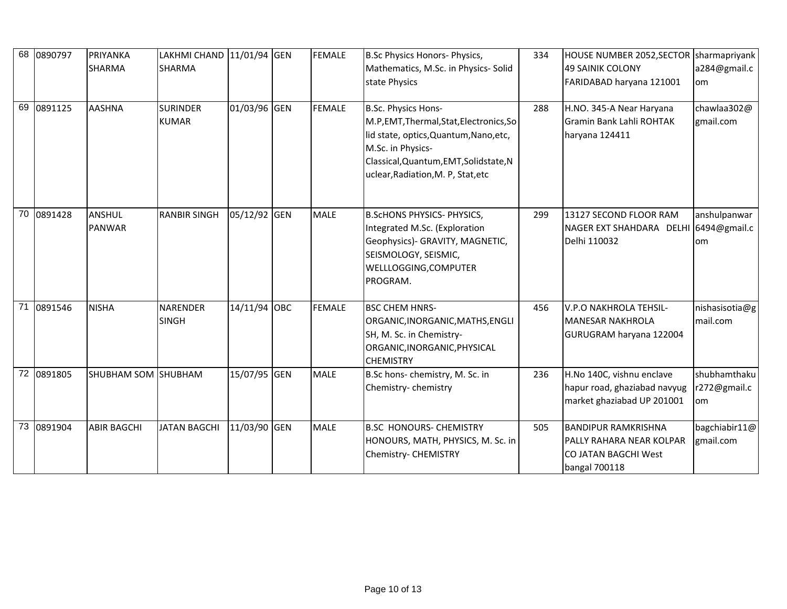| 68 0890797 | PRIYANKA<br><b>SHARMA</b> | LAKHMI CHAND 11/01/94 GEN<br><b>SHARMA</b> |              | <b>FEMALE</b> | B.Sc Physics Honors- Physics,<br>Mathematics, M.Sc. in Physics-Solid<br>state Physics                                                                                                                          | 334 | HOUSE NUMBER 2052, SECTOR Sharmapriyank<br>49 SAINIK COLONY<br>FARIDABAD haryana 121001                 | a284@gmail.c<br>om                 |
|------------|---------------------------|--------------------------------------------|--------------|---------------|----------------------------------------------------------------------------------------------------------------------------------------------------------------------------------------------------------------|-----|---------------------------------------------------------------------------------------------------------|------------------------------------|
| 69 0891125 | <b>AASHNA</b>             | <b>SURINDER</b><br><b>KUMAR</b>            | 01/03/96 GEN | <b>FEMALE</b> | B.Sc. Physics Hons-<br>M.P, EMT, Thermal, Stat, Electronics, So<br>lid state, optics, Quantum, Nano, etc,<br>M.Sc. in Physics-<br>Classical, Quantum, EMT, Solidstate, N<br>uclear, Radiation, M. P. Stat, etc | 288 | H.NO. 345-A Near Haryana<br><b>Gramin Bank Lahli ROHTAK</b><br>haryana 124411                           | chawlaa302@<br>gmail.com           |
| 70 0891428 | ANSHUL<br><b>PANWAR</b>   | <b>RANBIR SINGH</b>                        | 05/12/92 GEN | <b>MALE</b>   | <b>B.ScHONS PHYSICS- PHYSICS,</b><br>Integrated M.Sc. (Exploration<br>Geophysics)- GRAVITY, MAGNETIC,<br>SEISMOLOGY, SEISMIC,<br>WELLLOGGING, COMPUTER<br>PROGRAM.                                             | 299 | 13127 SECOND FLOOR RAM<br>NAGER EXT SHAHDARA DELHI 6494@gmail.c<br>Delhi 110032                         | anshulpanwar<br>om                 |
| 71 0891546 | <b>NISHA</b>              | <b>NARENDER</b><br><b>SINGH</b>            | 14/11/94 OBC | <b>FEMALE</b> | <b>BSC CHEM HNRS-</b><br>ORGANIC, INORGANIC, MATHS, ENGLI<br>SH, M. Sc. in Chemistry-<br>ORGANIC, INORGANIC, PHYSICAL<br><b>CHEMISTRY</b>                                                                      | 456 | V.P.O NAKHROLA TEHSIL-<br><b>MANESAR NAKHROLA</b><br>GURUGRAM haryana 122004                            | nishasisotia@g<br>mail.com         |
| 72 0891805 | SHUBHAM SOM SHUBHAM       |                                            | 15/07/95 GEN | <b>MALE</b>   | B.Sc hons-chemistry, M. Sc. in<br>Chemistry-chemistry                                                                                                                                                          | 236 | H.No 140C, vishnu enclave<br>hapur road, ghaziabad navyug<br>market ghaziabad UP 201001                 | shubhamthaku<br>r272@gmail.c<br>om |
| 73 0891904 | <b>ABIR BAGCHI</b>        | <b>JATAN BAGCHI</b>                        | 11/03/90 GEN | MALE          | <b>B.SC HONOURS- CHEMISTRY</b><br>HONOURS, MATH, PHYSICS, M. Sc. in<br>Chemistry- CHEMISTRY                                                                                                                    | 505 | <b>BANDIPUR RAMKRISHNA</b><br><b>IPALLY RAHARA NEAR KOLPAR</b><br>CO JATAN BAGCHI West<br>bangal 700118 | bagchiabir11@<br>gmail.com         |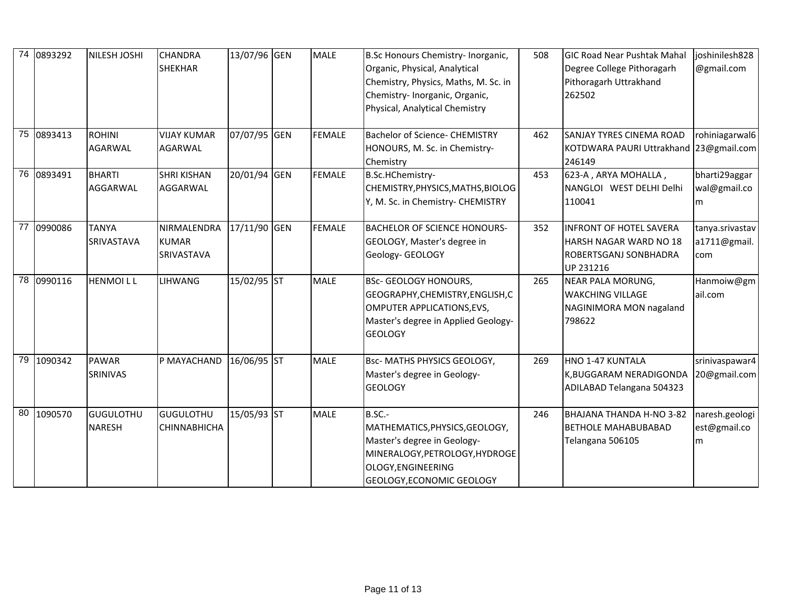| 74 | 0893292    | NILESH JOSHI                      | <b>CHANDRA</b><br><b>SHEKHAR</b>                 | 13/07/96 GEN | <b>MALE</b>   | B.Sc Honours Chemistry-Inorganic,<br>Organic, Physical, Analytical<br>Chemistry, Physics, Maths, M. Sc. in<br>Chemistry- Inorganic, Organic,<br>Physical, Analytical Chemistry | 508 | <b>GIC Road Near Pushtak Mahal</b><br>Degree College Pithoragarh<br>Pithoragarh Uttrakhand<br>262502 | joshinilesh828<br>@gmail.com           |
|----|------------|-----------------------------------|--------------------------------------------------|--------------|---------------|--------------------------------------------------------------------------------------------------------------------------------------------------------------------------------|-----|------------------------------------------------------------------------------------------------------|----------------------------------------|
|    | 75 0893413 | <b>ROHINI</b><br><b>AGARWAL</b>   | <b>VIJAY KUMAR</b><br><b>AGARWAL</b>             | 07/07/95 GEN | <b>FEMALE</b> | <b>Bachelor of Science- CHEMISTRY</b><br>HONOURS, M. Sc. in Chemistry-<br>Chemistry                                                                                            | 462 | <b>SANJAY TYRES CINEMA ROAD</b><br>KOTDWARA PAURI Uttrakhand 23@gmail.com<br>246149                  | rohiniagarwal6                         |
|    | 76 0893491 | <b>BHARTI</b><br>AGGARWAL         | <b>SHRI KISHAN</b><br>AGGARWAL                   | 20/01/94 GEN | <b>FEMALE</b> | B.Sc.HChemistry-<br>CHEMISTRY, PHYSICS, MATHS, BIOLOG<br>Y, M. Sc. in Chemistry- CHEMISTRY                                                                                     | 453 | 623-A, ARYA MOHALLA,<br>NANGLOI WEST DELHI Delhi<br>110041                                           | bharti29aggar<br>wal@gmail.co<br>m     |
| 77 | 0990086    | <b>TANYA</b><br><b>SRIVASTAVA</b> | NIRMALENDRA<br><b>KUMAR</b><br><b>SRIVASTAVA</b> | 17/11/90 GEN | <b>FEMALE</b> | <b>BACHELOR OF SCIENCE HONOURS-</b><br>GEOLOGY, Master's degree in<br>Geology- GEOLOGY                                                                                         | 352 | <b>INFRONT OF HOTEL SAVERA</b><br>HARSH NAGAR WARD NO 18<br>ROBERTSGANJ SONBHADRA<br>UP 231216       | tanya.srivastav<br>a1711@gmail.<br>com |
|    | 78 0990116 | <b>HENMOILL</b>                   | <b>LIHWANG</b>                                   | 15/02/95 ST  | <b>MALE</b>   | <b>BSc- GEOLOGY HONOURS,</b><br>GEOGRAPHY, CHEMISTRY, ENGLISH, C<br>OMPUTER APPLICATIONS, EVS,<br>Master's degree in Applied Geology-<br><b>GEOLOGY</b>                        | 265 | NEAR PALA MORUNG,<br><b>WAKCHING VILLAGE</b><br>NAGINIMORA MON nagaland<br>798622                    | Hanmoiw@gm<br>ail.com                  |
|    | 79 1090342 | <b>PAWAR</b><br>SRINIVAS          | P MAYACHAND                                      | 16/06/95 ST  | <b>MALE</b>   | Bsc- MATHS PHYSICS GEOLOGY,<br>Master's degree in Geology-<br><b>GEOLOGY</b>                                                                                                   | 269 | HNO 1-47 KUNTALA<br>K, BUGGARAM NERADIGONDA<br>ADILABAD Telangana 504323                             | srinivaspawar4<br>20@gmail.com         |
| 80 | 1090570    | <b>GUGULOTHU</b><br><b>NARESH</b> | <b>GUGULOTHU</b><br><b>CHINNABHICHA</b>          | 15/05/93 ST  | <b>MALE</b>   | $B.SC. -$<br>MATHEMATICS, PHYSICS, GEOLOGY,<br>Master's degree in Geology-<br>MINERALOGY, PETROLOGY, HYDROGE<br>OLOGY, ENGINEERING<br>GEOLOGY, ECONOMIC GEOLOGY                | 246 | BHAJANA THANDA H-NO 3-82<br><b>BETHOLE MAHABUBABAD</b><br>Telangana 506105                           | naresh.geologi<br>est@gmail.co<br>m    |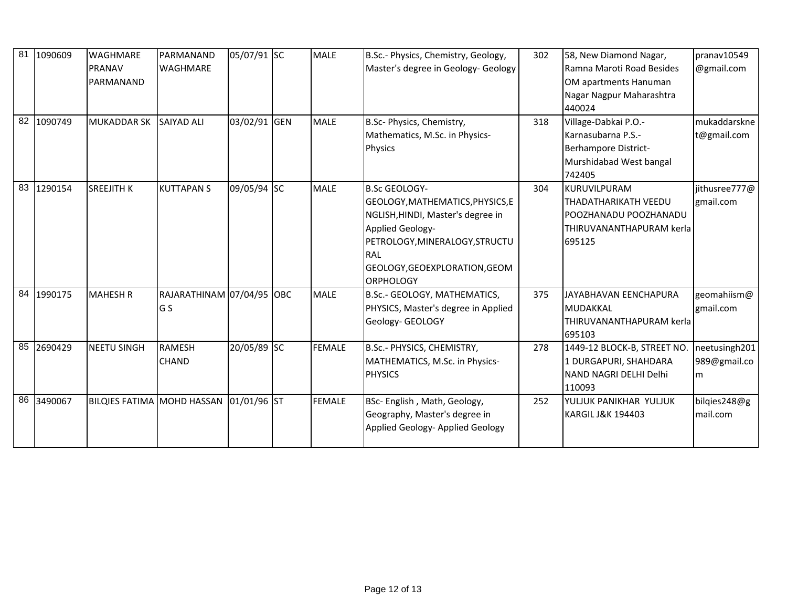| 81 | 1090609<br>82 1090749 | <b>WAGHMARE</b><br>PRANAV<br>PARMANAND<br><b>MUKADDAR SK</b> | PARMANAND<br><b>WAGHMARE</b><br><b>SAIYAD ALI</b> | 05/07/91 SC<br>03/02/91 GEN | <b>MALE</b><br><b>MALE</b> | B.Sc.- Physics, Chemistry, Geology,<br>Master's degree in Geology- Geology<br>B.Sc- Physics, Chemistry,                                                                                                                       | 302<br>318 | 58, New Diamond Nagar,<br>Ramna Maroti Road Besides<br>OM apartments Hanuman<br>Nagar Nagpur Maharashtra<br>440024<br>Village-Dabkai P.O.- | pranav10549<br>@gmail.com<br>mukaddarskne |
|----|-----------------------|--------------------------------------------------------------|---------------------------------------------------|-----------------------------|----------------------------|-------------------------------------------------------------------------------------------------------------------------------------------------------------------------------------------------------------------------------|------------|--------------------------------------------------------------------------------------------------------------------------------------------|-------------------------------------------|
|    |                       |                                                              |                                                   |                             |                            | Mathematics, M.Sc. in Physics-<br><b>Physics</b>                                                                                                                                                                              |            | Karnasubarna P.S.-<br>Berhampore District-<br>Murshidabad West bangal<br>742405                                                            | t@gmail.com                               |
| 83 | 1290154               | <b>SREEJITH K</b>                                            | <b>KUTTAPANS</b>                                  | 09/05/94 SC                 | <b>MALE</b>                | <b>B.Sc GEOLOGY-</b><br>GEOLOGY, MATHEMATICS, PHYSICS, E<br>NGLISH, HINDI, Master's degree in<br><b>Applied Geology-</b><br>PETROLOGY, MINERALOGY, STRUCTU<br><b>RAL</b><br>GEOLOGY, GEOEXPLORATION, GEOM<br><b>ORPHOLOGY</b> | 304        | KURUVILPURAM<br>THADATHARIKATH VEEDU<br>POOZHANADU POOZHANADU<br>THIRUVANANTHAPURAM kerla<br>695125                                        | jithusree777@<br>gmail.com                |
|    | 84 1990175            | <b>MAHESH R</b>                                              | RAJARATHINAM 07/04/95 OBC<br>G S                  |                             | <b>MALE</b>                | B.Sc.- GEOLOGY, MATHEMATICS,<br>PHYSICS, Master's degree in Applied<br>Geology- GEOLOGY                                                                                                                                       | 375        | <b>JAYABHAVAN EENCHAPURA</b><br><b>MUDAKKAL</b><br>THIRUVANANTHAPURAM kerla<br>695103                                                      | geomahiism@<br>gmail.com                  |
|    | 85 2690429            | <b>NEETU SINGH</b>                                           | <b>RAMESH</b><br><b>CHAND</b>                     | 20/05/89 SC                 | <b>FEMALE</b>              | B.Sc.- PHYSICS, CHEMISTRY,<br>MATHEMATICS, M.Sc. in Physics-<br><b>PHYSICS</b>                                                                                                                                                | 278        | 1449-12 BLOCK-B, STREET NO.<br>1 DURGAPURI, SHAHDARA<br>NAND NAGRI DELHI Delhi<br>110093                                                   | neetusingh201<br>989@gmail.co<br>m        |
| 86 | 3490067               | BILQIES FATIMA MOHD HASSAN                                   |                                                   | 01/01/96 ST                 | <b>FEMALE</b>              | BSc- English, Math, Geology,<br>Geography, Master's degree in<br>Applied Geology- Applied Geology                                                                                                                             | 252        | YULJUK PANIKHAR YULJUK<br><b>KARGIL J&amp;K 194403</b>                                                                                     | bilgies248@g<br>mail.com                  |